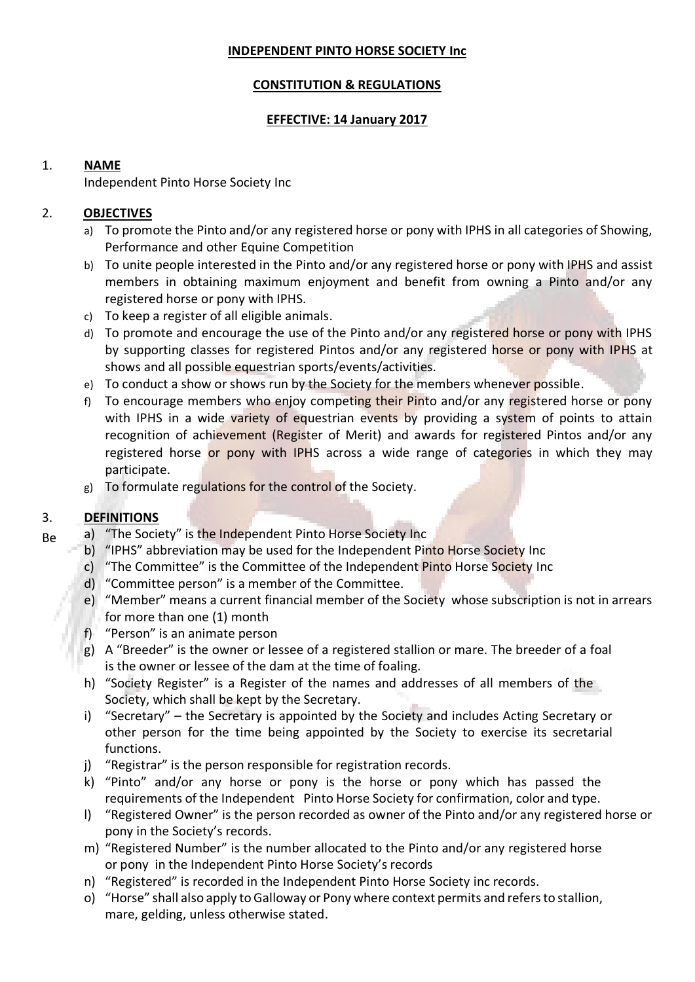### **INDEPENDENT PINTO HORSE SOCIETY Inc**

# **CONSTITUTION & REGULATIONS**

# **EFFECTIVE: 14 January 2017**

# 1. **NAME**

Independent Pinto Horse Society Inc

# 2. **OBJECTIVES**

- a) To promote the Pinto and/or any registered horse or pony with IPHS in all categories of Showing, Performance and other Equine Competition
- b) To unite people interested in the Pinto and/or any registered horse or pony with IPHS and assist members in obtaining maximum enjoyment and benefit from owning a Pinto and/or any registered horse or pony with IPHS.
- c) To keep a register of all eligible animals.
- d) To promote and encourage the use of the Pinto and/or any registered horse or pony with IPHS by supporting classes for registered Pintos and/or any registered horse or pony with IPHS at shows and all possible equestrian sports/events/activities.
- e) To conduct a show or shows run by the Society for the members whenever possible.
- f) To encourage members who enjoy competing their Pinto and/or any registered horse or pony with IPHS in a wide variety of equestrian events by providing a system of points to attain recognition of achievement (Register of Merit) and awards for registered Pintos and/or any registered horse or pony with IPHS across a wide range of categories in which they may participate.
- g) To formulate regulations for the control of the Society.

# 3. **DEFINITIONS**

- Be a) "The Society" is the Independent Pinto Horse Society Inc
	- b) "IPHS" abbreviation may be used for the Independent Pinto Horse Society Inc
	- c) "The Committee" is the Committee of the Independent Pinto Horse Society Inc
	- d) "Committee person" is a member of the Committee.
	- e) "Member" means a current financial member of the Society whose subscription is not in arrears for more than one (1) month
	- f) "Person" is an animate person
	- g) A "Breeder" is the owner or lessee of a registered stallion or mare. The breeder of a foal is the owner or lessee of the dam at the time of foaling.
	- h) "Society Register" is a Register of the names and addresses of all members of the Society, which shall be kept by the Secretary.
	- i) "Secretary" the Secretary is appointed by the Society and includes Acting Secretary or other person for the time being appointed by the Society to exercise its secretarial functions.
	- j) "Registrar" is the person responsible for registration records.
	- k) "Pinto" and/or any horse or pony is the horse or pony which has passed the requirements of the Independent Pinto Horse Society for confirmation, color and type.
	- l) "Registered Owner" is the person recorded as owner of the Pinto and/or any registered horse or pony in the Society's records.
	- m) "Registered Number" is the number allocated to the Pinto and/or any registered horse or pony in the Independent Pinto Horse Society's records
	- n) "Registered" is recorded in the Independent Pinto Horse Society inc records.
	- o) "Horse" shall also apply to Galloway or Pony where context permits and refers to stallion, mare, gelding, unless otherwise stated.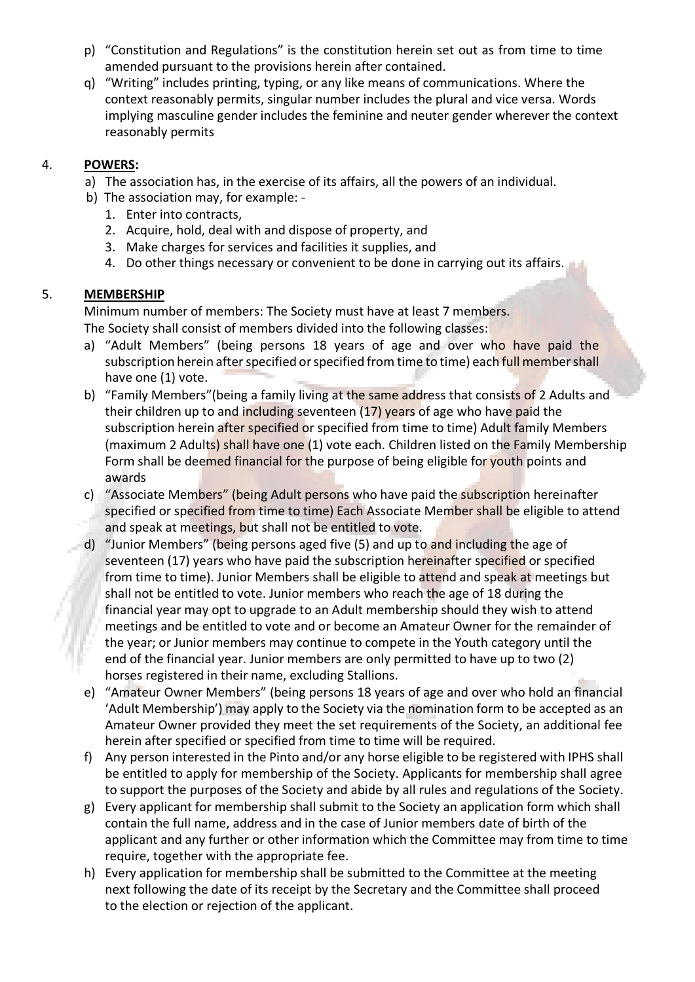- p) "Constitution and Regulations" is the constitution herein set out as from time to time amended pursuant to the provisions herein after contained.
- q) "Writing" includes printing, typing, or any like means of communications. Where the context reasonably permits, singular number includes the plural and vice versa. Words implying masculine gender includes the feminine and neuter gender wherever the context reasonably permits

# 4. **POWERS:**

- a) The association has, in the exercise of its affairs, all the powers of an individual.
- b) The association may, for example:
	- 1. Enter into contracts,
	- 2. Acquire, hold, deal with and dispose of property, and
	- 3. Make charges for services and facilities it supplies, and
	- 4. Do other things necessary or convenient to be done in carrying out its affairs.

# 5. **MEMBERSHIP**

Minimum number of members: The Society must have at least 7 members. The Society shall consist of members divided into the following classes:

- a) "Adult Members" (being persons 18 years of age and over who have paid the subscription herein after specified or specified from time to time) each full member shall have one (1) vote.
- b) "Family Members" (being a family living at the same address that consists of 2 Adults and their children up to and including seventeen (17) years of age who have paid the subscription herein after specified or specified from time to time) Adult family Members (maximum 2 Adults) shall have one (1) vote each. Children listed on the Family Membership Form shall be deemed financial for the purpose of being eligible for youth points and awards
- c) "Associate Members" (being Adult persons who have paid the subscription hereinafter specified or specified from time to time) Each Associate Member shall be eligible to attend and speak at meetings, but shall not be entitled to vote.
- d) "Junior Members" (being persons aged five (5) and up to and including the age of seventeen (17) years who have paid the subscription hereinafter specified or specified from time to time). Junior Members shall be eligible to attend and speak at meetings but shall not be entitled to vote. Junior members who reach the age of 18 during the financial year may opt to upgrade to an Adult membership should they wish to attend meetings and be entitled to vote and or become an Amateur Owner for the remainder of the year; or Junior members may continue to compete in the Youth category until the end of the financial year. Junior members are only permitted to have up to two (2) horses registered in their name, excluding Stallions.
- e) "Amateur Owner Members" (being persons 18 years of age and over who hold an financial 'Adult Membership') may apply to the Society via the nomination form to be accepted as an Amateur Owner provided they meet the set requirements of the Society, an additional fee herein after specified or specified from time to time will be required.
- f) Any person interested in the Pinto and/or any horse eligible to be registered with IPHS shall be entitled to apply for membership of the Society. Applicants for membership shall agree to support the purposes of the Society and abide by all rules and regulations of the Society.
- g) Every applicant for membership shall submit to the Society an application form which shall contain the full name, address and in the case of Junior members date of birth of the applicant and any further or other information which the Committee may from time to time require, together with the appropriate fee.
- h) Every application for membership shall be submitted to the Committee at the meeting next following the date of its receipt by the Secretary and the Committee shall proceed to the election or rejection of the applicant.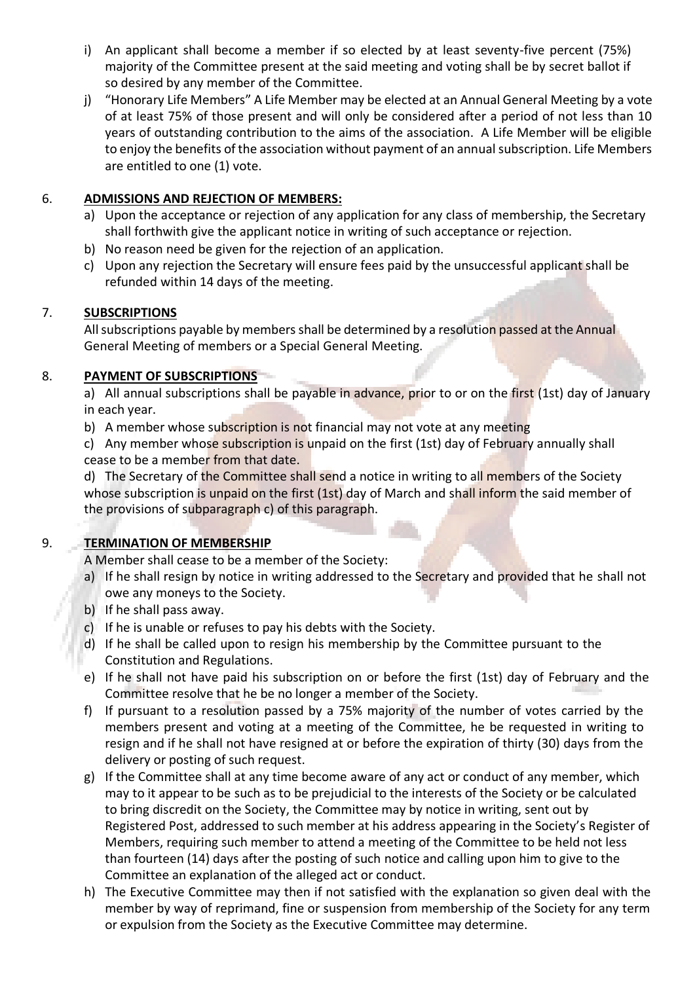- i) An applicant shall become a member if so elected by at least seventy-five percent (75%) majority of the Committee present at the said meeting and voting shall be by secret ballot if so desired by any member of the Committee.
- j) "Honorary Life Members" A Life Member may be elected at an Annual General Meeting by a vote of at least 75% of those present and will only be considered after a period of not less than 10 years of outstanding contribution to the aims of the association. A Life Member will be eligible to enjoy the benefits of the association without payment of an annual subscription. Life Members are entitled to one (1) vote.

# 6. **ADMISSIONS AND REJECTION OF MEMBERS:**

- a) Upon the acceptance or rejection of any application for any class of membership, the Secretary shall forthwith give the applicant notice in writing of such acceptance or rejection.
- b) No reason need be given for the rejection of an application.
- c) Upon any rejection the Secretary will ensure fees paid by the unsuccessful applicant shall be refunded within 14 days of the meeting.

# 7. **SUBSCRIPTIONS**

All subscriptions payable by members shall be determined by a resolution passed at the Annual General Meeting of members or a Special General Meeting.

# 8. **PAYMENT OF SUBSCRIPTIONS**

a) All annual subscriptions shall be payable in advance, prior to or on the first (1st) day of January in each year.

b) A member whose subscription is not financial may not vote at any meeting

c) Any member whose subscription is unpaid on the first (1st) day of February annually shall cease to be a member from that date.

d) The Secretary of the Committee shall send a notice in writing to all members of the Society whose subscription is unpaid on the first (1st) day of March and shall inform the said member of the provisions of subparagraph c) of this paragraph.

# 9. **TERMINATION OF MEMBERSHIP**

A Member shall cease to be a member of the Society:

- a) If he shall resign by notice in writing addressed to the Secretary and provided that he shall not owe any moneys to the Society.
- b) If he shall pass away.
- c) If he is unable or refuses to pay his debts with the Society.
- d) If he shall be called upon to resign his membership by the Committee pursuant to the Constitution and Regulations.
- e) If he shall not have paid his subscription on or before the first (1st) day of February and the Committee resolve that he be no longer a member of the Society.
- f) If pursuant to a resolution passed by a 75% majority of the number of votes carried by the members present and voting at a meeting of the Committee, he be requested in writing to resign and if he shall not have resigned at or before the expiration of thirty (30) days from the delivery or posting of such request.
- g) If the Committee shall at any time become aware of any act or conduct of any member, which may to it appear to be such as to be prejudicial to the interests of the Society or be calculated to bring discredit on the Society, the Committee may by notice in writing, sent out by Registered Post, addressed to such member at his address appearing in the Society's Register of Members, requiring such member to attend a meeting of the Committee to be held not less than fourteen (14) days after the posting of such notice and calling upon him to give to the Committee an explanation of the alleged act or conduct.
- h) The Executive Committee may then if not satisfied with the explanation so given deal with the member by way of reprimand, fine or suspension from membership of the Society for any term or expulsion from the Society as the Executive Committee may determine.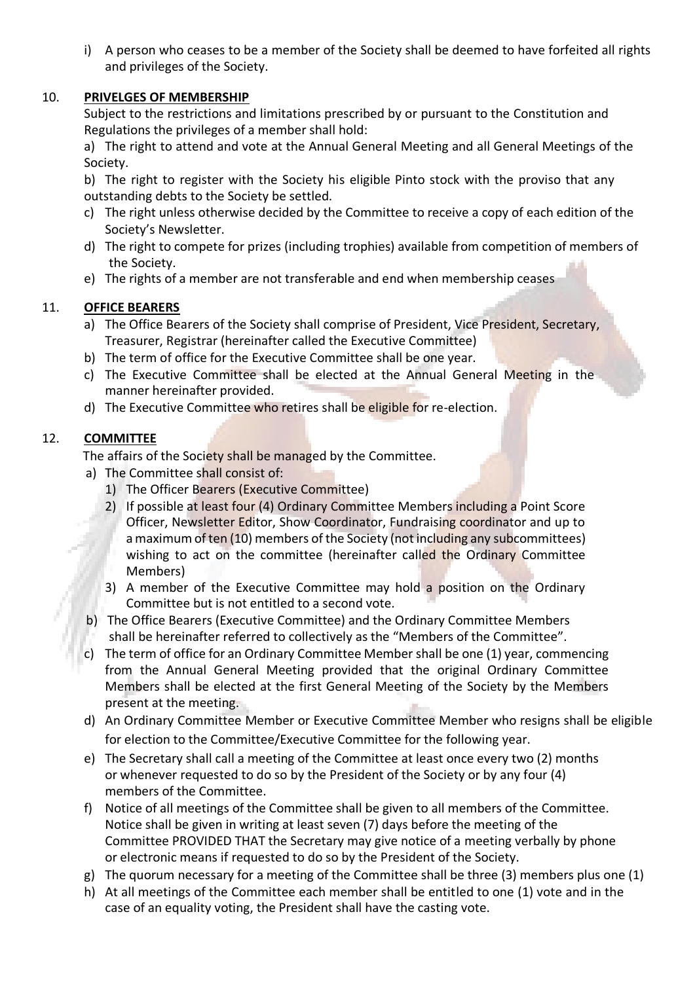i) A person who ceases to be a member of the Society shall be deemed to have forfeited all rights and privileges of the Society.

# 10. **PRIVELGES OF MEMBERSHIP**

Subject to the restrictions and limitations prescribed by or pursuant to the Constitution and Regulations the privileges of a member shall hold:

a) The right to attend and vote at the Annual General Meeting and all General Meetings of the Society.

b) The right to register with the Society his eligible Pinto stock with the proviso that any outstanding debts to the Society be settled.

- c) The right unless otherwise decided by the Committee to receive a copy of each edition of the Society's Newsletter.
- d) The right to compete for prizes (including trophies) available from competition of members of the Society.
- e) The rights of a member are not transferable and end when membership ceases

# 11. **OFFICE BEARERS**

- a) The Office Bearers of the Society shall comprise of President, Vice President, Secretary, Treasurer, Registrar (hereinafter called the Executive Committee)
- b) The term of office for the Executive Committee shall be one year.
- c) The Executive Committee shall be elected at the Annual General Meeting in the manner hereinafter provided.
- d) The Executive Committee who retires shall be eligible for re-election.

# 12. **COMMITTEE**

The affairs of the Society shall be managed by the Committee.

- a) The Committee shall consist of:
	- 1) The Officer Bearers (Executive Committee)
	- 2) If possible at least four (4) Ordinary Committee Members including a Point Score Officer, Newsletter Editor, Show Coordinator, Fundraising coordinator and up to a maximum of ten (10) members of the Society (not including any subcommittees) wishing to act on the committee (hereinafter called the Ordinary Committee Members)
	- 3) A member of the Executive Committee may hold a position on the Ordinary Committee but is not entitled to a second vote.
- b) The Office Bearers (Executive Committee) and the Ordinary Committee Members shall be hereinafter referred to collectively as the "Members of the Committee".
- c) The term of office for an Ordinary Committee Member shall be one (1) year, commencing from the Annual General Meeting provided that the original Ordinary Committee Members shall be elected at the first General Meeting of the Society by the Members present at the meeting.
- d) An Ordinary Committee Member or Executive Committee Member who resigns shall be eligible for election to the Committee/Executive Committee for the following year.
- e) The Secretary shall call a meeting of the Committee at least once every two (2) months or whenever requested to do so by the President of the Society or by any four (4) members of the Committee.
- f) Notice of all meetings of the Committee shall be given to all members of the Committee. Notice shall be given in writing at least seven (7) days before the meeting of the Committee PROVIDED THAT the Secretary may give notice of a meeting verbally by phone or electronic means if requested to do so by the President of the Society.
- g) The quorum necessary for a meeting of the Committee shall be three (3) members plus one (1)
- h) At all meetings of the Committee each member shall be entitled to one (1) vote and in the case of an equality voting, the President shall have the casting vote.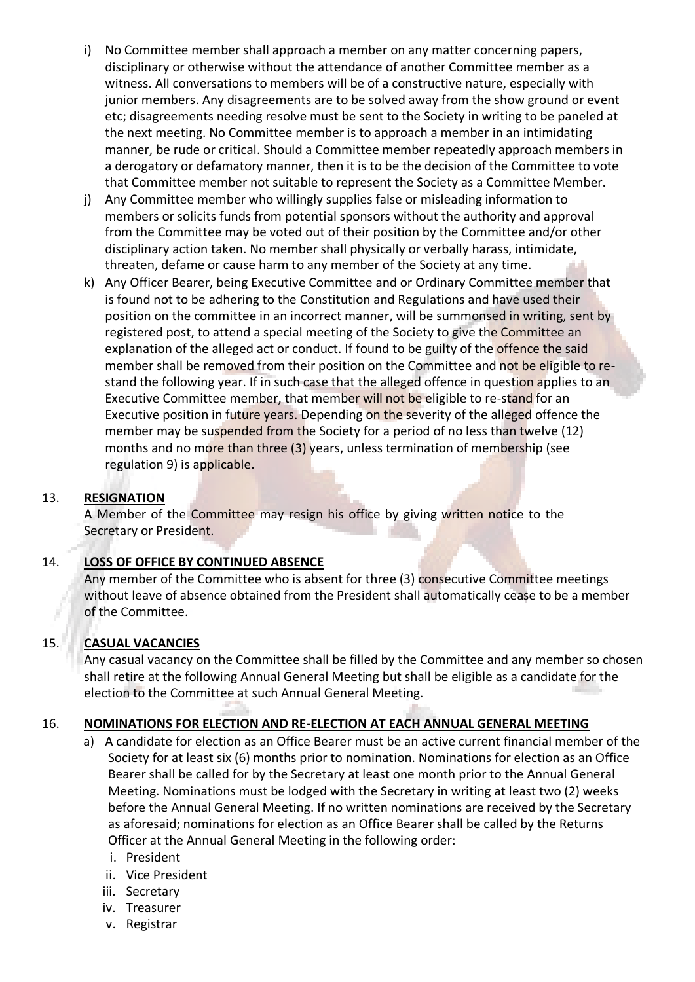- i) No Committee member shall approach a member on any matter concerning papers, disciplinary or otherwise without the attendance of another Committee member as a witness. All conversations to members will be of a constructive nature, especially with junior members. Any disagreements are to be solved away from the show ground or event etc; disagreements needing resolve must be sent to the Society in writing to be paneled at the next meeting. No Committee member is to approach a member in an intimidating manner, be rude or critical. Should a Committee member repeatedly approach members in a derogatory or defamatory manner, then it is to be the decision of the Committee to vote that Committee member not suitable to represent the Society as a Committee Member.
- j) Any Committee member who willingly supplies false or misleading information to members or solicits funds from potential sponsors without the authority and approval from the Committee may be voted out of their position by the Committee and/or other disciplinary action taken. No member shall physically or verbally harass, intimidate, threaten, defame or cause harm to any member of the Society at any time.
- k) Any Officer Bearer, being Executive Committee and or Ordinary Committee member that is found not to be adhering to the Constitution and Regulations and have used their position on the committee in an incorrect manner, will be summonsed in writing, sent by registered post, to attend a special meeting of the Society to give the Committee an explanation of the alleged act or conduct. If found to be guilty of the offence the said member shall be removed from their position on the Committee and not be eligible to restand the following year. If in such case that the alleged offence in question applies to an Executive Committee member, that member will not be eligible to re-stand for an Executive position in future years. Depending on the severity of the alleged offence the member may be suspended from the Society for a period of no less than twelve (12) months and no more than three (3) years, unless termination of membership (see regulation 9) is applicable.

#### 13. **RESIGNATION**

A Member of the Committee may resign his office by giving written notice to the Secretary or President.

#### 14. **LOSS OF OFFICE BY CONTINUED ABSENCE**

Any member of the Committee who is absent for three (3) consecutive Committee meetings without leave of absence obtained from the President shall automatically cease to be a member of the Committee.

#### 15. **CASUAL VACANCIES**

Any casual vacancy on the Committee shall be filled by the Committee and any member so chosen shall retire at the following Annual General Meeting but shall be eligible as a candidate for the election to the Committee at such Annual General Meeting.

#### 16. **NOMINATIONS FOR ELECTION AND RE-ELECTION AT EACH ANNUAL GENERAL MEETING**

- a) A candidate for election as an Office Bearer must be an active current financial member of the Society for at least six (6) months prior to nomination. Nominations for election as an Office Bearer shall be called for by the Secretary at least one month prior to the Annual General Meeting. Nominations must be lodged with the Secretary in writing at least two (2) weeks before the Annual General Meeting. If no written nominations are received by the Secretary as aforesaid; nominations for election as an Office Bearer shall be called by the Returns Officer at the Annual General Meeting in the following order:
	- i. President
	- ii. Vice President
	- iii. Secretary
	- iv. Treasurer
	- v. Registrar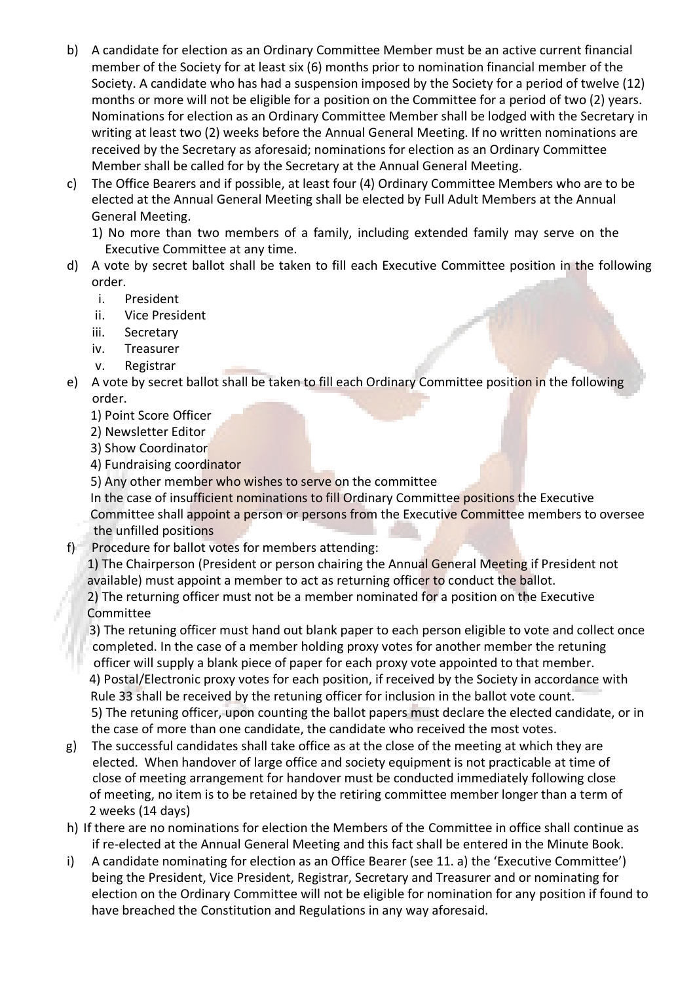- b) A candidate for election as an Ordinary Committee Member must be an active current financial member of the Society for at least six (6) months prior to nomination financial member of the Society. A candidate who has had a suspension imposed by the Society for a period of twelve (12) months or more will not be eligible for a position on the Committee for a period of two (2) years. Nominations for election as an Ordinary Committee Member shall be lodged with the Secretary in writing at least two (2) weeks before the Annual General Meeting. If no written nominations are received by the Secretary as aforesaid; nominations for election as an Ordinary Committee Member shall be called for by the Secretary at the Annual General Meeting.
- c) The Office Bearers and if possible, at least four (4) Ordinary Committee Members who are to be elected at the Annual General Meeting shall be elected by Full Adult Members at the Annual General Meeting.

1) No more than two members of a family, including extended family may serve on the Executive Committee at any time.

- d) A vote by secret ballot shall be taken to fill each Executive Committee position in the following order.
	- i. President
	- ii. Vice President
	- iii. Secretary
	- iv. Treasurer
	- v. Registrar
- e) A vote by secret ballot shall be taken to fill each Ordinary Committee position in the following order.
	- 1) Point Score Officer
	- 2) Newsletter Editor
	- 3) Show Coordinator
	- 4) Fundraising coordinator
	- 5) Any other member who wishes to serve on the committee

In the case of insufficient nominations to fill Ordinary Committee positions the Executive Committee shall appoint a person or persons from the Executive Committee members to oversee the unfilled positions

f) Procedure for ballot votes for members attending:

1) The Chairperson (President or person chairing the Annual General Meeting if President not available) must appoint a member to act as returning officer to conduct the ballot. 2) The returning officer must not be a member nominated for a position on the Executive Committee

 3) The retuning officer must hand out blank paper to each person eligible to vote and collect once completed. In the case of a member holding proxy votes for another member the retuning officer will supply a blank piece of paper for each proxy vote appointed to that member. 4) Postal/Electronic proxy votes for each position, if received by the Society in accordance with Rule 33 shall be received by the retuning officer for inclusion in the ballot vote count. 5) The retuning officer, upon counting the ballot papers must declare the elected candidate, or in the case of more than one candidate, the candidate who received the most votes.

- g) The successful candidates shall take office as at the close of the meeting at which they are elected. When handover of large office and society equipment is not practicable at time of close of meeting arrangement for handover must be conducted immediately following close of meeting, no item is to be retained by the retiring committee member longer than a term of 2 weeks (14 days)
- h) If there are no nominations for election the Members of the Committee in office shall continue as if re-elected at the Annual General Meeting and this fact shall be entered in the Minute Book.
- i) A candidate nominating for election as an Office Bearer (see 11. a) the 'Executive Committee') being the President, Vice President, Registrar, Secretary and Treasurer and or nominating for election on the Ordinary Committee will not be eligible for nomination for any position if found to have breached the Constitution and Regulations in any way aforesaid.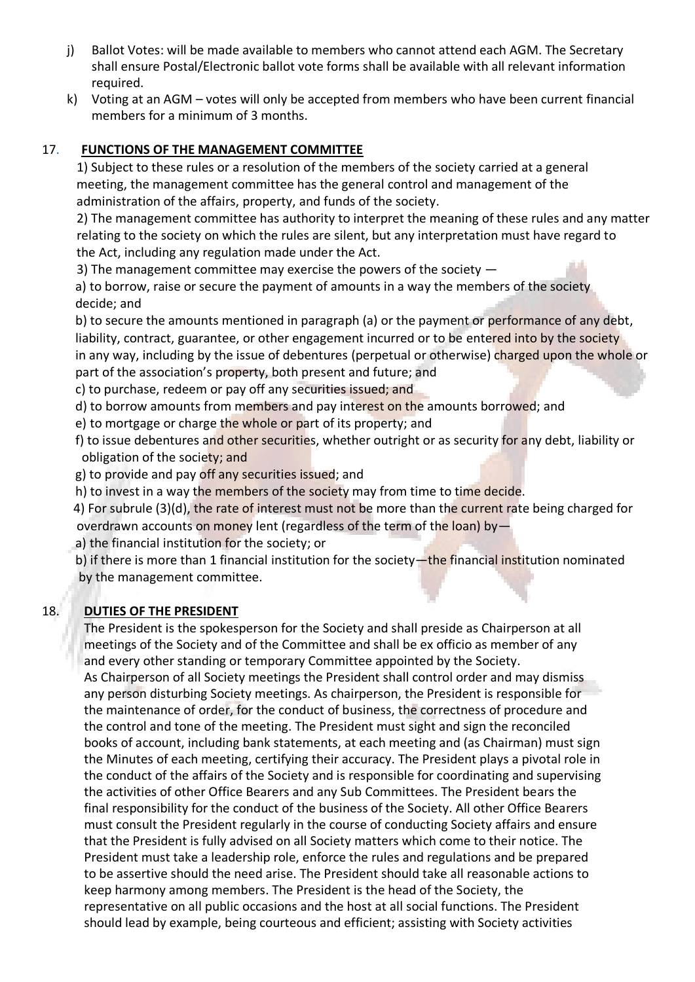- j) Ballot Votes: will be made available to members who cannot attend each AGM. The Secretary shall ensure Postal/Electronic ballot vote forms shall be available with all relevant information required.
- k) Voting at an AGM votes will only be accepted from members who have been current financial members for a minimum of 3 months.

# 17. **FUNCTIONS OF THE MANAGEMENT COMMITTEE**

 1) Subject to these rules or a resolution of the members of the society carried at a general meeting, the management committee has the general control and management of the administration of the affairs, property, and funds of the society.

 2) The management committee has authority to interpret the meaning of these rules and any matter relating to the society on which the rules are silent, but any interpretation must have regard to the Act, including any regulation made under the Act.

3) The management committee may exercise the powers of the society —

a) to borrow, raise or secure the payment of amounts in a way the members of the society decide; and

b) to secure the amounts mentioned in paragraph (a) or the payment or performance of any debt, liability, contract, guarantee, or other engagement incurred or to be entered into by the society in any way, including by the issue of debentures (perpetual or otherwise) charged upon the whole or part of the association's property, both present and future; and

c) to purchase, redeem or pay off any securities issued; and

d) to borrow amounts from members and pay interest on the amounts borrowed; and

e) to mortgage or charge the whole or part of its property; and

f) to issue debentures and other securities, whether outright or as security for any debt, liability or obligation of the society; and

g) to provide and pay off any securities issued; and

h) to invest in a way the members of the society may from time to time decide.

4) For subrule (3)(d), the rate of interest must not be more than the current rate being charged for overdrawn accounts on money lent (regardless of the term of the loan) by—

a) the financial institution for the society; or

b) if there is more than 1 financial institution for the society—the financial institution nominated by the management committee.

# 18. **DUTIES OF THE PRESIDENT**

The President is the spokesperson for the Society and shall preside as Chairperson at all meetings of the Society and of the Committee and shall be ex officio as member of any and every other standing or temporary Committee appointed by the Society.

As Chairperson of all Society meetings the President shall control order and may dismiss any person disturbing Society meetings. As chairperson, the President is responsible for the maintenance of order, for the conduct of business, the correctness of procedure and the control and tone of the meeting. The President must sight and sign the reconciled books of account, including bank statements, at each meeting and (as Chairman) must sign the Minutes of each meeting, certifying their accuracy. The President plays a pivotal role in the conduct of the affairs of the Society and is responsible for coordinating and supervising the activities of other Office Bearers and any Sub Committees. The President bears the final responsibility for the conduct of the business of the Society. All other Office Bearers must consult the President regularly in the course of conducting Society affairs and ensure that the President is fully advised on all Society matters which come to their notice. The President must take a leadership role, enforce the rules and regulations and be prepared to be assertive should the need arise. The President should take all reasonable actions to keep harmony among members. The President is the head of the Society, the representative on all public occasions and the host at all social functions. The President should lead by example, being courteous and efficient; assisting with Society activities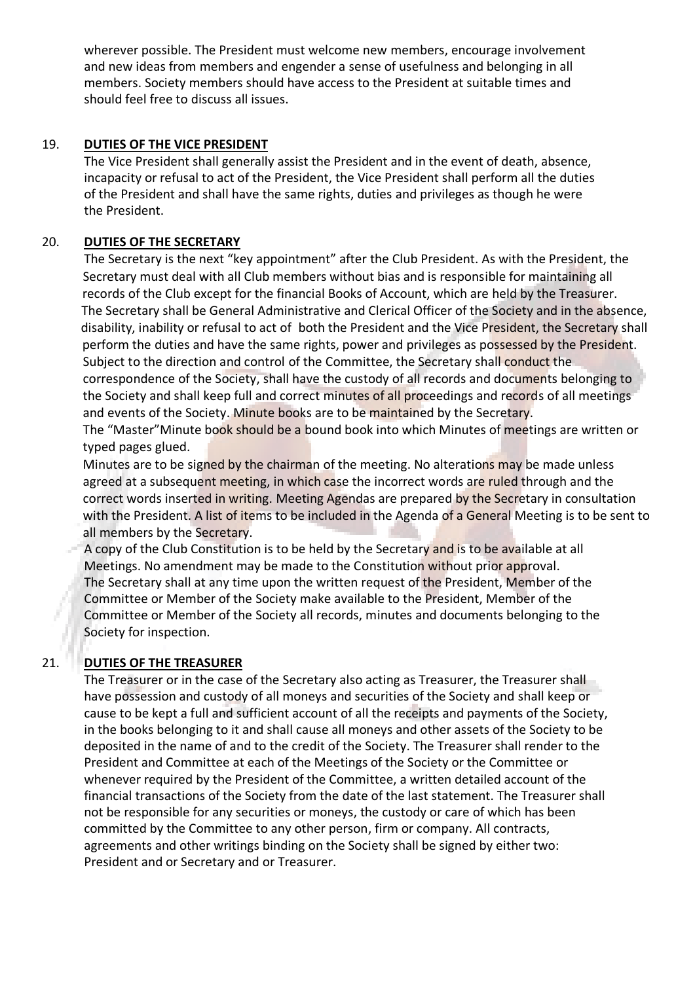wherever possible. The President must welcome new members, encourage involvement and new ideas from members and engender a sense of usefulness and belonging in all members. Society members should have access to the President at suitable times and should feel free to discuss all issues.

#### 19. **DUTIES OF THE VICE PRESIDENT**

The Vice President shall generally assist the President and in the event of death, absence, incapacity or refusal to act of the President, the Vice President shall perform all the duties of the President and shall have the same rights, duties and privileges as though he were the President.

## 20. **DUTIES OF THE SECRETARY**

The Secretary is the next "key appointment" after the Club President. As with the President, the Secretary must deal with all Club members without bias and is responsible for maintaining all records of the Club except for the financial Books of Account, which are held by the Treasurer. The Secretary shall be General Administrative and Clerical Officer of the Society and in the absence, disability, inability or refusal to act of both the President and the Vice President, the Secretary shall perform the duties and have the same rights, power and privileges as possessed by the President. Subject to the direction and control of the Committee, the Secretary shall conduct the correspondence of the Society, shall have the custody of all records and documents belonging to the Society and shall keep full and correct minutes of all proceedings and records of all meetings and events of the Society. Minute books are to be maintained by the Secretary.

 The "Master"Minute book should be a bound book into which Minutes of meetings are written or typed pages glued.

Minutes are to be signed by the chairman of the meeting. No alterations may be made unless agreed at a subsequent meeting, in which case the incorrect words are ruled through and the correct words inserted in writing. Meeting Agendas are prepared by the Secretary in consultation with the President. A list of items to be included in the Agenda of a General Meeting is to be sent to all members by the Secretary.

A copy of the Club Constitution is to be held by the Secretary and is to be available at all Meetings. No amendment may be made to the Constitution without prior approval. The Secretary shall at any time upon the written request of the President, Member of the Committee or Member of the Society make available to the President, Member of the Committee or Member of the Society all records, minutes and documents belonging to the Society for inspection.

# 21. **DUTIES OF THE TREASURER**

The Treasurer or in the case of the Secretary also acting as Treasurer, the Treasurer shall have possession and custody of all moneys and securities of the Society and shall keep or cause to be kept a full and sufficient account of all the receipts and payments of the Society, in the books belonging to it and shall cause all moneys and other assets of the Society to be deposited in the name of and to the credit of the Society. The Treasurer shall render to the President and Committee at each of the Meetings of the Society or the Committee or whenever required by the President of the Committee, a written detailed account of the financial transactions of the Society from the date of the last statement. The Treasurer shall not be responsible for any securities or moneys, the custody or care of which has been committed by the Committee to any other person, firm or company. All contracts, agreements and other writings binding on the Society shall be signed by either two: President and or Secretary and or Treasurer.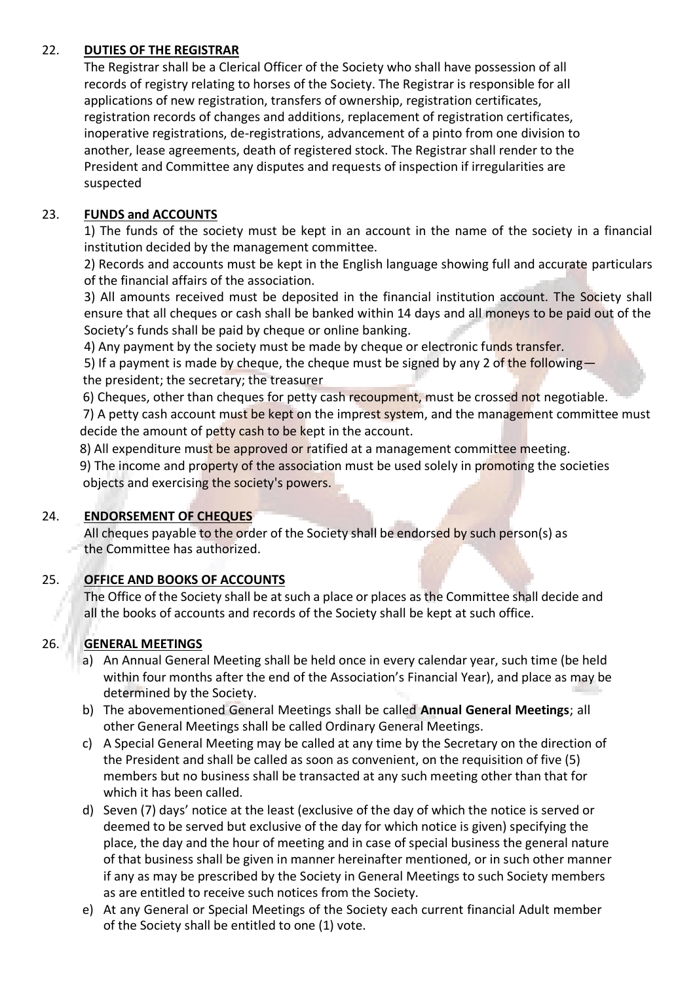## 22. **DUTIES OF THE REGISTRAR**

The Registrar shall be a Clerical Officer of the Society who shall have possession of all records of registry relating to horses of the Society. The Registrar is responsible for all applications of new registration, transfers of ownership, registration certificates, registration records of changes and additions, replacement of registration certificates, inoperative registrations, de-registrations, advancement of a pinto from one division to another, lease agreements, death of registered stock. The Registrar shall render to the President and Committee any disputes and requests of inspection if irregularities are suspected

# 23. **FUNDS and ACCOUNTS**

1) The funds of the society must be kept in an account in the name of the society in a financial institution decided by the management committee.

2) Records and accounts must be kept in the English language showing full and accurate particulars of the financial affairs of the association.

3) All amounts received must be deposited in the financial institution account. The Society shall ensure that all cheques or cash shall be banked within 14 days and all moneys to be paid out of the Society's funds shall be paid by cheque or online banking.

4) Any payment by the society must be made by cheque or electronic funds transfer.

5) If a payment is made by cheque, the cheque must be signed by any 2 of the following the president; the secretary; the treasurer

6) Cheques, other than cheques for petty cash recoupment, must be crossed not negotiable.

7) A petty cash account must be kept on the imprest system, and the management committee must decide the amount of petty cash to be kept in the account.

8) All expenditure must be approved or ratified at a management committee meeting.

 9) The income and property of the association must be used solely in promoting the societies objects and exercising the society's powers.

# 24. **ENDORSEMENT OF CHEQUES**

All cheques payable to the order of the Society shall be endorsed by such person(s) as the Committee has authorized.

# 25. **OFFICE AND BOOKS OF ACCOUNTS**

The Office of the Society shall be at such a place or places as the Committee shall decide and all the books of accounts and records of the Society shall be kept at such office.

# 26. **GENERAL MEETINGS**

- a) An Annual General Meeting shall be held once in every calendar year, such time (be held within four months after the end of the Association's Financial Year), and place as may be determined by the Society.
- b) The abovementioned General Meetings shall be called **Annual General Meetings**; all other General Meetings shall be called Ordinary General Meetings.
- c) A Special General Meeting may be called at any time by the Secretary on the direction of the President and shall be called as soon as convenient, on the requisition of five (5) members but no business shall be transacted at any such meeting other than that for which it has been called.
- d) Seven (7) days' notice at the least (exclusive of the day of which the notice is served or deemed to be served but exclusive of the day for which notice is given) specifying the place, the day and the hour of meeting and in case of special business the general nature of that business shall be given in manner hereinafter mentioned, or in such other manner if any as may be prescribed by the Society in General Meetings to such Society members as are entitled to receive such notices from the Society.
- e) At any General or Special Meetings of the Society each current financial Adult member of the Society shall be entitled to one (1) vote.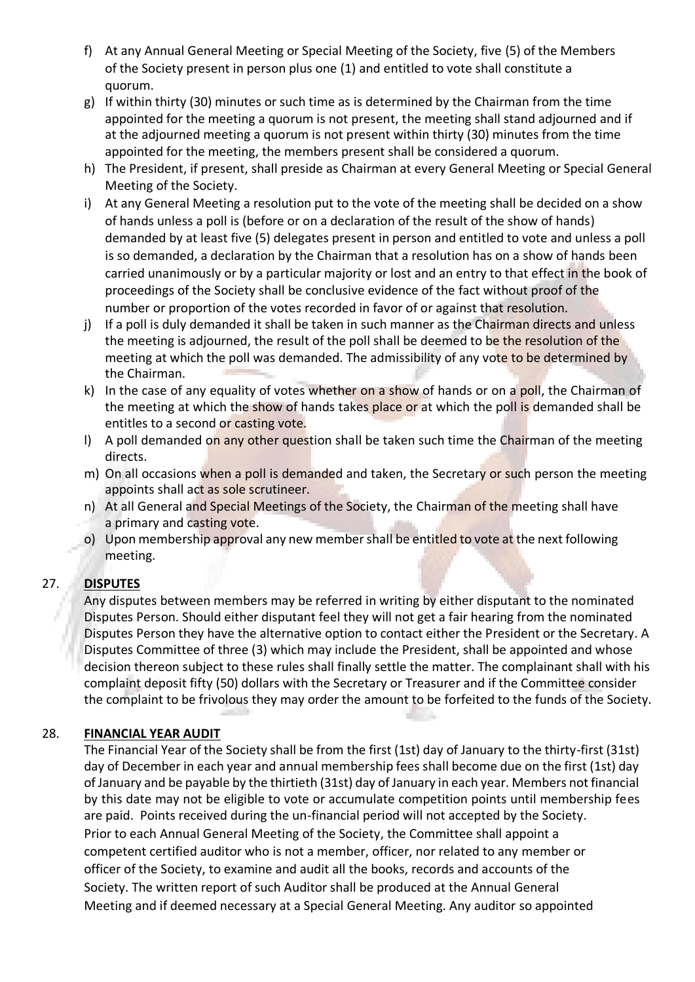- f) At any Annual General Meeting or Special Meeting of the Society, five (5) of the Members of the Society present in person plus one (1) and entitled to vote shall constitute a quorum.
- g) If within thirty (30) minutes or such time as is determined by the Chairman from the time appointed for the meeting a quorum is not present, the meeting shall stand adjourned and if at the adjourned meeting a quorum is not present within thirty (30) minutes from the time appointed for the meeting, the members present shall be considered a quorum.
- h) The President, if present, shall preside as Chairman at every General Meeting or Special General Meeting of the Society.
- i) At any General Meeting a resolution put to the vote of the meeting shall be decided on a show of hands unless a poll is (before or on a declaration of the result of the show of hands) demanded by at least five (5) delegates present in person and entitled to vote and unless a poll is so demanded, a declaration by the Chairman that a resolution has on a show of hands been carried unanimously or by a particular majority or lost and an entry to that effect in the book of proceedings of the Society shall be conclusive evidence of the fact without proof of the number or proportion of the votes recorded in favor of or against that resolution.
- j) If a poll is duly demanded it shall be taken in such manner as the Chairman directs and unless the meeting is adjourned, the result of the poll shall be deemed to be the resolution of the meeting at which the poll was demanded. The admissibility of any vote to be determined by the Chairman.
- k) In the case of any equality of votes whether on a show of hands or on a poll, the Chairman of the meeting at which the show of hands takes place or at which the poll is demanded shall be entitles to a second or casting vote.
- I) A poll demanded on any other question shall be taken such time the Chairman of the meeting directs.
- m) On all occasions when a poll is demanded and taken, the Secretary or such person the meeting appoints shall act as sole scrutineer.
- n) At all General and Special Meetings of the Society, the Chairman of the meeting shall have a primary and casting vote.
- o) Upon membership approval any new member shall be entitled to vote at the next following meeting.

# 27. **DISPUTES**

Any disputes between members may be referred in writing by either disputant to the nominated Disputes Person. Should either disputant feel they will not get a fair hearing from the nominated Disputes Person they have the alternative option to contact either the President or the Secretary. A Disputes Committee of three (3) which may include the President, shall be appointed and whose decision thereon subject to these rules shall finally settle the matter. The complainant shall with his complaint deposit fifty (50) dollars with the Secretary or Treasurer and if the Committee consider the complaint to be frivolous they may order the amount to be forfeited to the funds of the Society.

# 28. **FINANCIAL YEAR AUDIT**

The Financial Year of the Society shall be from the first (1st) day of January to the thirty-first (31st) day of December in each year and annual membership fees shall become due on the first (1st) day of January and be payable by the thirtieth (31st) day of January in each year. Members not financial by this date may not be eligible to vote or accumulate competition points until membership fees are paid. Points received during the un-financial period will not accepted by the Society. Prior to each Annual General Meeting of the Society, the Committee shall appoint a competent certified auditor who is not a member, officer, nor related to any member or officer of the Society, to examine and audit all the books, records and accounts of the Society. The written report of such Auditor shall be produced at the Annual General Meeting and if deemed necessary at a Special General Meeting. Any auditor so appointed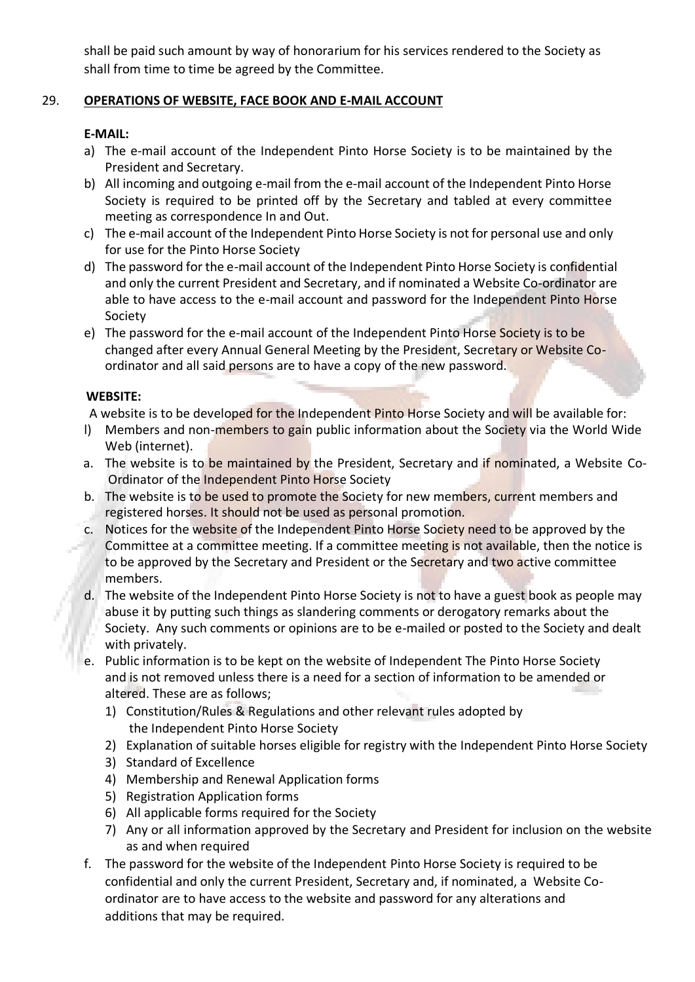shall be paid such amount by way of honorarium for his services rendered to the Society as shall from time to time be agreed by the Committee.

# 29. **OPERATIONS OF WEBSITE, FACE BOOK AND E-MAIL ACCOUNT**

# **E-MAIL:**

- a) The e-mail account of the Independent Pinto Horse Society is to be maintained by the President and Secretary.
- b) All incoming and outgoing e-mail from the e-mail account of the Independent Pinto Horse Society is required to be printed off by the Secretary and tabled at every committee meeting as correspondence In and Out.
- c) The e-mail account of the Independent Pinto Horse Society is not for personal use and only for use for the Pinto Horse Society
- d) The password for the e-mail account of the Independent Pinto Horse Society is confidential and only the current President and Secretary, and if nominated a Website Co-ordinator are able to have access to the e-mail account and password for the Independent Pinto Horse Society
- e) The password for the e-mail account of the Independent Pinto Horse Society is to be changed after every Annual General Meeting by the President, Secretary or Website Coordinator and all said persons are to have a copy of the new password.

# **WEBSITE:**

A website is to be developed for the Independent Pinto Horse Society and will be available for:

- l) Members and non-members to gain public information about the Society via the World Wide Web (internet).
- a. The website is to be maintained by the President, Secretary and if nominated, a Website Co-Ordinator of the Independent Pinto Horse Society
- b. The website is to be used to promote the Society for new members, current members and registered horses. It should not be used as personal promotion.
- c. Notices for the website of the Independent Pinto Horse Society need to be approved by the Committee at a committee meeting. If a committee meeting is not available, then the notice is to be approved by the Secretary and President or the Secretary and two active committee members.
- d. The website of the Independent Pinto Horse Society is not to have a guest book as people may abuse it by putting such things as slandering comments or derogatory remarks about the Society. Any such comments or opinions are to be e-mailed or posted to the Society and dealt with privately.
- e. Public information is to be kept on the website of Independent The Pinto Horse Society and is not removed unless there is a need for a section of information to be amended or altered. These are as follows;
	- 1) Constitution/Rules & Regulations and other relevant rules adopted by the Independent Pinto Horse Society
	- 2) Explanation of suitable horses eligible for registry with the Independent Pinto Horse Society
	- 3) Standard of Excellence
	- 4) Membership and Renewal Application forms
	- 5) Registration Application forms
	- 6) All applicable forms required for the Society
	- 7) Any or all information approved by the Secretary and President for inclusion on the website as and when required
- f. The password for the website of the Independent Pinto Horse Society is required to be confidential and only the current President, Secretary and, if nominated, a Website Coordinator are to have access to the website and password for any alterations and additions that may be required.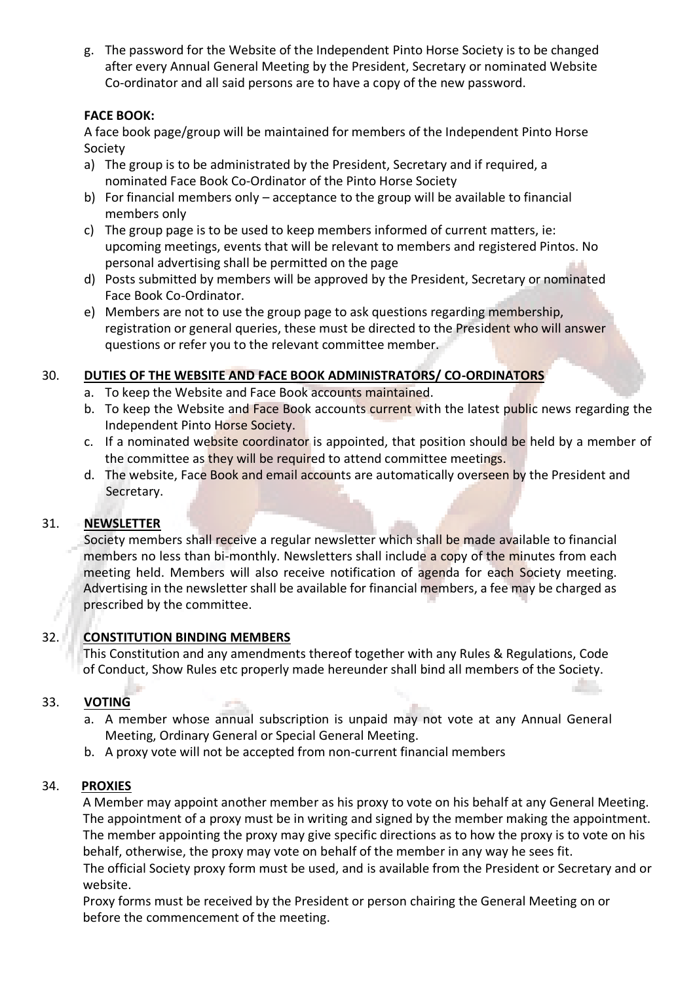g. The password for the Website of the Independent Pinto Horse Society is to be changed after every Annual General Meeting by the President, Secretary or nominated Website Co-ordinator and all said persons are to have a copy of the new password.

# **FACE BOOK:**

A face book page/group will be maintained for members of the Independent Pinto Horse Society

- a) The group is to be administrated by the President, Secretary and if required, a nominated Face Book Co-Ordinator of the Pinto Horse Society
- b) For financial members only acceptance to the group will be available to financial members only
- c) The group page is to be used to keep members informed of current matters, ie: upcoming meetings, events that will be relevant to members and registered Pintos. No personal advertising shall be permitted on the page
- d) Posts submitted by members will be approved by the President, Secretary or nominated Face Book Co-Ordinator.
- e) Members are not to use the group page to ask questions regarding membership, registration or general queries, these must be directed to the President who will answer questions or refer you to the relevant committee member.

# 30. **DUTIES OF THE WEBSITE AND FACE BOOK ADMINISTRATORS/ CO-ORDINATORS**

- a. To keep the Website and Face Book accounts maintained.
- b. To keep the Website and Face Book accounts current with the latest public news regarding the Independent Pinto Horse Society.
- c. If a nominated website coordinator is appointed, that position should be held by a member of the committee as they will be required to attend committee meetings.
- d. The website, Face Book and email accounts are automatically overseen by the President and Secretary.

# 31. **NEWSLETTER**

Society members shall receive a regular newsletter which shall be made available to financial members no less than bi-monthly. Newsletters shall include a copy of the minutes from each meeting held. Members will also receive notification of agenda for each Society meeting. Advertising in the newsletter shall be available for financial members, a fee may be charged as prescribed by the committee.

# 32. **CONSTITUTION BINDING MEMBERS**

This Constitution and any amendments thereof together with any Rules & Regulations, Code of Conduct, Show Rules etc properly made hereunder shall bind all members of the Society.

# 33. **VOTING**

- a. A member whose annual subscription is unpaid may not vote at any Annual General Meeting, Ordinary General or Special General Meeting.
- b. A proxy vote will not be accepted from non-current financial members

# 34. **PROXIES**

 A Member may appoint another member as his proxy to vote on his behalf at any General Meeting. The appointment of a proxy must be in writing and signed by the member making the appointment. The member appointing the proxy may give specific directions as to how the proxy is to vote on his behalf, otherwise, the proxy may vote on behalf of the member in any way he sees fit.

The official Society proxy form must be used, and is available from the President or Secretary and or website.

 Proxy forms must be received by the President or person chairing the General Meeting on or before the commencement of the meeting.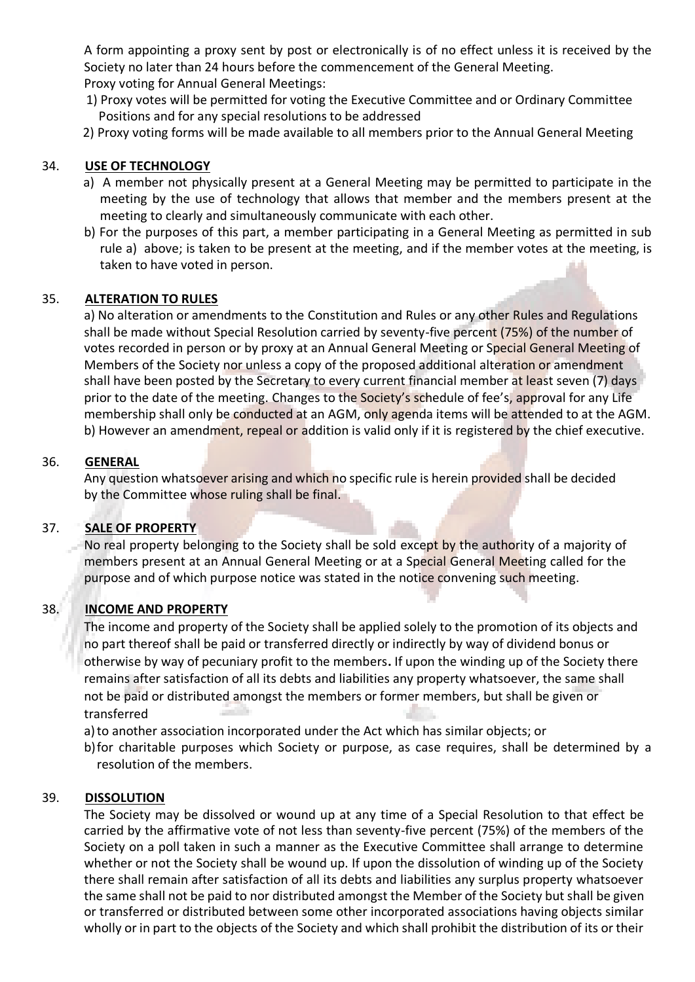A form appointing a proxy sent by post or electronically is of no effect unless it is received by the Society no later than 24 hours before the commencement of the General Meeting. Proxy voting for Annual General Meetings:

- 1) Proxy votes will be permitted for voting the Executive Committee and or Ordinary Committee Positions and for any special resolutions to be addressed
- 2) Proxy voting forms will be made available to all members prior to the Annual General Meeting

### 34. **USE OF TECHNOLOGY**

- a) A member not physically present at a General Meeting may be permitted to participate in the meeting by the use of technology that allows that member and the members present at the meeting to clearly and simultaneously communicate with each other.
- b) For the purposes of this part, a member participating in a General Meeting as permitted in sub rule a) above; is taken to be present at the meeting, and if the member votes at the meeting, is taken to have voted in person.

#### 35. **ALTERATION TO RULES**

a) No alteration or amendments to the Constitution and Rules or any other Rules and Regulations shall be made without Special Resolution carried by seventy-five percent (75%) of the number of votes recorded in person or by proxy at an Annual General Meeting or Special General Meeting of Members of the Society nor unless a copy of the proposed additional alteration or amendment shall have been posted by the Secretary to every current financial member at least seven (7) days prior to the date of the meeting. Changes to the Society's schedule of fee's, approval for any Life membership shall only be conducted at an AGM, only agenda items will be attended to at the AGM. b) However an amendment, repeal or addition is valid only if it is registered by the chief executive.

#### 36. **GENERAL**

Any question whatsoever arising and which no specific rule is herein provided shall be decided by the Committee whose ruling shall be final.

#### 37. **SALE OF PROPERTY**

No real property belonging to the Society shall be sold except by the authority of a majority of members present at an Annual General Meeting or at a Special General Meeting called for the purpose and of which purpose notice was stated in the notice convening such meeting.

# 38. **INCOME AND PROPERTY**

The income and property of the Society shall be applied solely to the promotion of its objects and no part thereof shall be paid or transferred directly or indirectly by way of dividend bonus or otherwise by way of pecuniary profit to the members**.** If upon the winding up of the Society there remains after satisfaction of all its debts and liabilities any property whatsoever, the same shall not be paid or distributed amongst the members or former members, but shall be given or transferred

a)to another association incorporated under the Act which has similar objects; or

b)for charitable purposes which Society or purpose, as case requires, shall be determined by a resolution of the members.

#### 39. **DISSOLUTION**

The Society may be dissolved or wound up at any time of a Special Resolution to that effect be carried by the affirmative vote of not less than seventy-five percent (75%) of the members of the Society on a poll taken in such a manner as the Executive Committee shall arrange to determine whether or not the Society shall be wound up. If upon the dissolution of winding up of the Society there shall remain after satisfaction of all its debts and liabilities any surplus property whatsoever the same shall not be paid to nor distributed amongst the Member of the Society but shall be given or transferred or distributed between some other incorporated associations having objects similar wholly or in part to the objects of the Society and which shall prohibit the distribution of its or their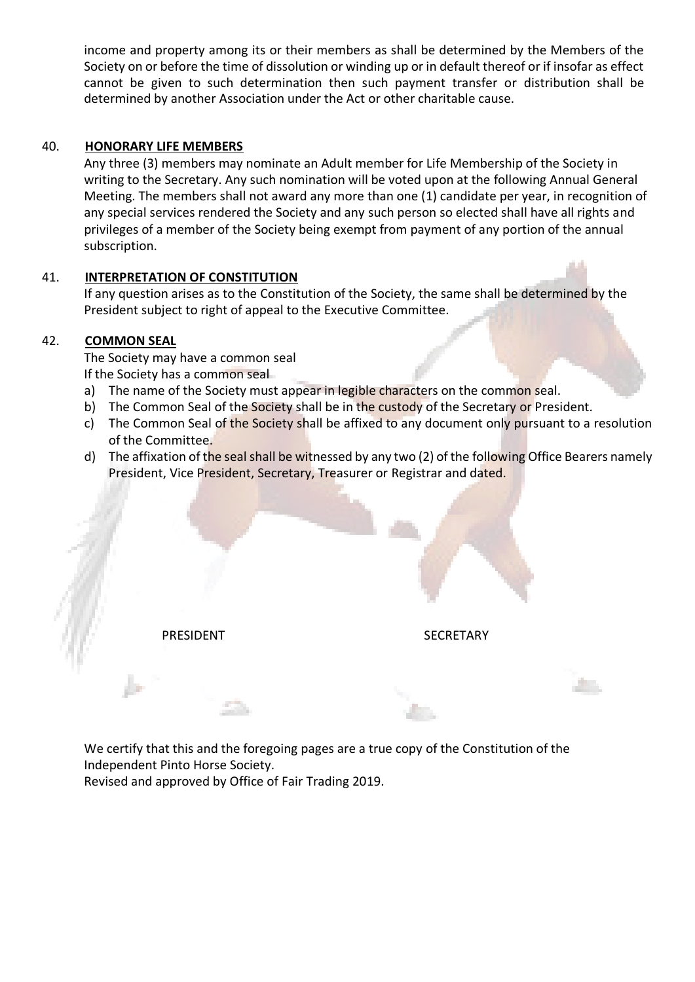income and property among its or their members as shall be determined by the Members of the Society on or before the time of dissolution or winding up or in default thereof or if insofar as effect cannot be given to such determination then such payment transfer or distribution shall be determined by another Association under the Act or other charitable cause.

#### 40. **HONORARY LIFE MEMBERS**

Any three (3) members may nominate an Adult member for Life Membership of the Society in writing to the Secretary. Any such nomination will be voted upon at the following Annual General Meeting. The members shall not award any more than one (1) candidate per year, in recognition of any special services rendered the Society and any such person so elected shall have all rights and privileges of a member of the Society being exempt from payment of any portion of the annual subscription.

# 41. **INTERPRETATION OF CONSTITUTION**

If any question arises as to the Constitution of the Society, the same shall be determined by the President subject to right of appeal to the Executive Committee.

#### 42. **COMMON SEAL**

The Society may have a common seal If the Society has a common seal

- a) The name of the Society must appear in legible characters on the common seal.
- b) The Common Seal of the Society shall be in the custody of the Secretary or President.
- c) The Common Seal of the Society shall be affixed to any document only pursuant to a resolution of the Committee.
- d) The affixation of the seal shall be witnessed by any two (2) of the following Office Bearers namely President, Vice President, Secretary, Treasurer or Registrar and dated.

PRESIDENT SECRETARY

We certify that this and the foregoing pages are a true copy of the Constitution of the Independent Pinto Horse Society.

Revised and approved by Office of Fair Trading 2019.